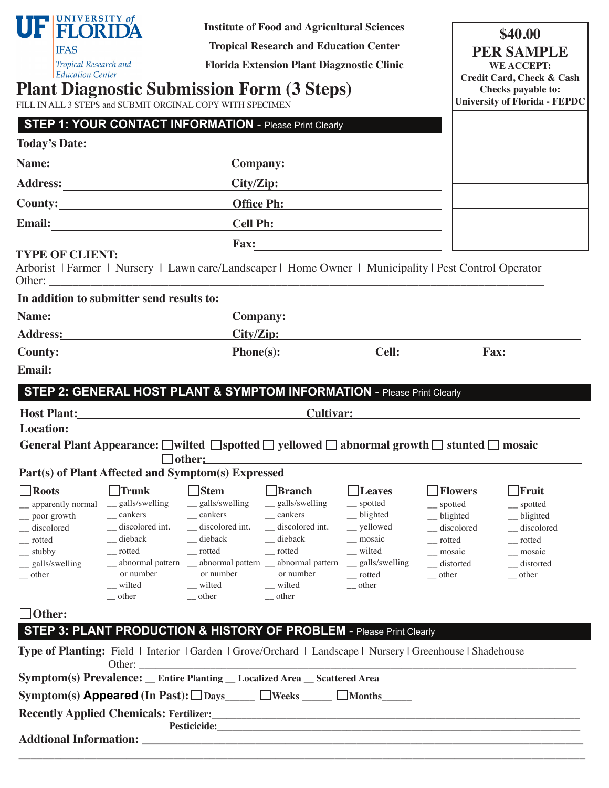|                                                                                                                                                                                                                                | FELORIDA<br><b>IFAS</b><br>Tropical Research and<br><b>Education Center</b> |                                                                                                                                                                                                                                | <b>Institute of Food and Agricultural Sciences</b><br><b>Tropical Research and Education Center</b><br><b>Florida Extension Plant Diagznostic Clinic</b><br><b>Plant Diagnostic Submission Form (3 Steps)</b><br>FILL IN ALL 3 STEPS and SUBMIT ORGINAL COPY WITH SPECIMEN |                                                                                                                                                                               |                                                                                                                                    |                                                                                                                           | \$40.00<br><b>PER SAMPLE</b><br><b>WE ACCEPT:</b><br><b>Credit Card, Check &amp; Cash</b><br>Checks payable to:<br><b>University of Florida - FEPDC</b>                                                                        |
|--------------------------------------------------------------------------------------------------------------------------------------------------------------------------------------------------------------------------------|-----------------------------------------------------------------------------|--------------------------------------------------------------------------------------------------------------------------------------------------------------------------------------------------------------------------------|----------------------------------------------------------------------------------------------------------------------------------------------------------------------------------------------------------------------------------------------------------------------------|-------------------------------------------------------------------------------------------------------------------------------------------------------------------------------|------------------------------------------------------------------------------------------------------------------------------------|---------------------------------------------------------------------------------------------------------------------------|--------------------------------------------------------------------------------------------------------------------------------------------------------------------------------------------------------------------------------|
|                                                                                                                                                                                                                                |                                                                             | <b>STEP 1: YOUR CONTACT INFORMATION - Please Print Clearly</b>                                                                                                                                                                 |                                                                                                                                                                                                                                                                            |                                                                                                                                                                               |                                                                                                                                    |                                                                                                                           |                                                                                                                                                                                                                                |
|                                                                                                                                                                                                                                | <b>Today's Date:</b>                                                        |                                                                                                                                                                                                                                |                                                                                                                                                                                                                                                                            |                                                                                                                                                                               |                                                                                                                                    |                                                                                                                           |                                                                                                                                                                                                                                |
|                                                                                                                                                                                                                                |                                                                             |                                                                                                                                                                                                                                |                                                                                                                                                                                                                                                                            | Company:                                                                                                                                                                      |                                                                                                                                    |                                                                                                                           |                                                                                                                                                                                                                                |
|                                                                                                                                                                                                                                |                                                                             |                                                                                                                                                                                                                                |                                                                                                                                                                                                                                                                            | City/Zip:                                                                                                                                                                     |                                                                                                                                    |                                                                                                                           |                                                                                                                                                                                                                                |
|                                                                                                                                                                                                                                |                                                                             |                                                                                                                                                                                                                                |                                                                                                                                                                                                                                                                            | Office Ph:                                                                                                                                                                    |                                                                                                                                    |                                                                                                                           |                                                                                                                                                                                                                                |
|                                                                                                                                                                                                                                |                                                                             |                                                                                                                                                                                                                                |                                                                                                                                                                                                                                                                            | Cell Ph:                                                                                                                                                                      |                                                                                                                                    |                                                                                                                           |                                                                                                                                                                                                                                |
|                                                                                                                                                                                                                                |                                                                             |                                                                                                                                                                                                                                |                                                                                                                                                                                                                                                                            |                                                                                                                                                                               |                                                                                                                                    |                                                                                                                           |                                                                                                                                                                                                                                |
| <b>TYPE OF CLIENT:</b><br>Arborist   Farmer   Nursery   Lawn care/Landscaper   Home Owner   Municipality   Pest Control Operator                                                                                               |                                                                             |                                                                                                                                                                                                                                |                                                                                                                                                                                                                                                                            |                                                                                                                                                                               |                                                                                                                                    |                                                                                                                           |                                                                                                                                                                                                                                |
|                                                                                                                                                                                                                                |                                                                             | In addition to submitter send results to:                                                                                                                                                                                      |                                                                                                                                                                                                                                                                            |                                                                                                                                                                               |                                                                                                                                    |                                                                                                                           |                                                                                                                                                                                                                                |
|                                                                                                                                                                                                                                |                                                                             |                                                                                                                                                                                                                                |                                                                                                                                                                                                                                                                            |                                                                                                                                                                               |                                                                                                                                    |                                                                                                                           | Company:                                                                                                                                                                                                                       |
|                                                                                                                                                                                                                                |                                                                             | Address: No. 1998. Address:                                                                                                                                                                                                    |                                                                                                                                                                                                                                                                            | City/Zip:                                                                                                                                                                     |                                                                                                                                    |                                                                                                                           |                                                                                                                                                                                                                                |
|                                                                                                                                                                                                                                |                                                                             | County: Phone(s):                                                                                                                                                                                                              |                                                                                                                                                                                                                                                                            |                                                                                                                                                                               |                                                                                                                                    | <b>Cell:</b>                                                                                                              | Fax:                                                                                                                                                                                                                           |
|                                                                                                                                                                                                                                |                                                                             |                                                                                                                                                                                                                                |                                                                                                                                                                                                                                                                            |                                                                                                                                                                               |                                                                                                                                    |                                                                                                                           |                                                                                                                                                                                                                                |
|                                                                                                                                                                                                                                |                                                                             | STEP 2: GENERAL HOST PLANT & SYMPTOM INFORMATION - Please Print Clearly                                                                                                                                                        |                                                                                                                                                                                                                                                                            |                                                                                                                                                                               |                                                                                                                                    |                                                                                                                           |                                                                                                                                                                                                                                |
|                                                                                                                                                                                                                                |                                                                             | Host Plant: Note and the Second Second Second Second Second Second Second Second Second Second Second Second Second Second Second Second Second Second Second Second Second Second Second Second Second Second Second Second S |                                                                                                                                                                                                                                                                            |                                                                                                                                                                               |                                                                                                                                    |                                                                                                                           | Cultivar: Cultivaries and Cultivaries and Cultivaries and Cultivaries and Cultivaries and Cultivaries and Cultivaries and Cultivaries and Cultivaries and Cultivaries and Cultivaries and Cultivaries and Cultivaries and Cult |
|                                                                                                                                                                                                                                |                                                                             | Location: New York Street, New York Street, New York Street, New York Street, New York Street, New York Street                                                                                                                 |                                                                                                                                                                                                                                                                            |                                                                                                                                                                               |                                                                                                                                    |                                                                                                                           |                                                                                                                                                                                                                                |
|                                                                                                                                                                                                                                |                                                                             | General Plant Appearance: □wilted □spotted □ yellowed □ abnormal growth □ stunted □ mosaic                                                                                                                                     |                                                                                                                                                                                                                                                                            |                                                                                                                                                                               |                                                                                                                                    |                                                                                                                           |                                                                                                                                                                                                                                |
|                                                                                                                                                                                                                                |                                                                             | $\Box$ other:<br>Part(s) of Plant Affected and Symptom(s) Expressed                                                                                                                                                            |                                                                                                                                                                                                                                                                            |                                                                                                                                                                               |                                                                                                                                    |                                                                                                                           |                                                                                                                                                                                                                                |
| $\Box$ Roots<br>$\equiv$ poor growth<br>_discolored<br>$-$ rotted<br>$\equiv$ stubby<br>$\equiv$ other                                                                                                                         | _ galls/swelling                                                            | $\Box$ Trunk<br>__ apparently normal __ galls/swelling<br>$\equiv$ cankers<br>_discolored int.<br>_dieback<br>$-$ rotted<br>or number<br>_ wilted<br><sub>other</sub>                                                          | $\Box$ Stem<br>_ galls/swelling<br>$\equiv$ cankers<br>_ discolored int.<br>_dieback<br>$\equiv$ rotted<br>_ abnormal pattern _ abnormal pattern _ abnormal pattern<br>or number<br>$\equiv$ wilted<br>other                                                               | <b>Branch</b><br>_ galls/swelling<br>$\equiv$ cankers<br>_discolored int.<br>$\equiv$ dieback<br>$\overline{\phantom{a}}$ rotted<br>or number<br>$\equiv$ wilted<br>$-$ other | $\Box$ Leaves<br>__ spotted<br>_blighted<br>__ yellowed<br>_ mosaic<br>_ wilted<br>_ galls/swelling<br>__ rotted<br>$\equiv$ other | $\Box$ Flowers<br>__ spotted<br>$\equiv$ blighted<br>_discolored<br>__ rotted<br>_ mosaic<br>_distorted<br>$\equiv$ other | $\Box$ Fruit<br>$\equiv$ spotted<br>$\_\_$ blighted<br>_discolored<br>__ rotted<br>_ mosaic<br>_distorted<br>$\equiv$ other                                                                                                    |
| $\Box$ Other:                                                                                                                                                                                                                  |                                                                             |                                                                                                                                                                                                                                |                                                                                                                                                                                                                                                                            |                                                                                                                                                                               |                                                                                                                                    |                                                                                                                           |                                                                                                                                                                                                                                |
|                                                                                                                                                                                                                                |                                                                             | STEP 3: PLANT PRODUCTION & HISTORY OF PROBLEM - Please Print Clearly                                                                                                                                                           |                                                                                                                                                                                                                                                                            |                                                                                                                                                                               |                                                                                                                                    |                                                                                                                           |                                                                                                                                                                                                                                |
|                                                                                                                                                                                                                                |                                                                             | Type of Planting: Field   Interior   Garden   Grove/Orchard   Landscape   Nursery   Greenhouse   Shadehouse<br>Other:                                                                                                          |                                                                                                                                                                                                                                                                            | <u> 2000 - Jan James James James James James James James James James James James James James James James James J</u>                                                          |                                                                                                                                    |                                                                                                                           |                                                                                                                                                                                                                                |
|                                                                                                                                                                                                                                |                                                                             | Symptom(s) Prevalence: _ Entire Planting _ Localized Area _ Scattered Area                                                                                                                                                     |                                                                                                                                                                                                                                                                            |                                                                                                                                                                               |                                                                                                                                    |                                                                                                                           |                                                                                                                                                                                                                                |
|                                                                                                                                                                                                                                |                                                                             | $Symptom(s)$ Appeared (In Past): $\Box$ Days $\Box$ Weeks $\Box$ $\Box$ Months                                                                                                                                                 |                                                                                                                                                                                                                                                                            |                                                                                                                                                                               |                                                                                                                                    |                                                                                                                           |                                                                                                                                                                                                                                |
| Pesticicide: New York Change of the Change of the Change of the Change of the Change of the Change of the Change of the Change of the Change of the Change of the Change of the Change of the Change of the Change of the Chan |                                                                             |                                                                                                                                                                                                                                |                                                                                                                                                                                                                                                                            |                                                                                                                                                                               |                                                                                                                                    |                                                                                                                           |                                                                                                                                                                                                                                |
|                                                                                                                                                                                                                                |                                                                             |                                                                                                                                                                                                                                |                                                                                                                                                                                                                                                                            |                                                                                                                                                                               |                                                                                                                                    |                                                                                                                           |                                                                                                                                                                                                                                |